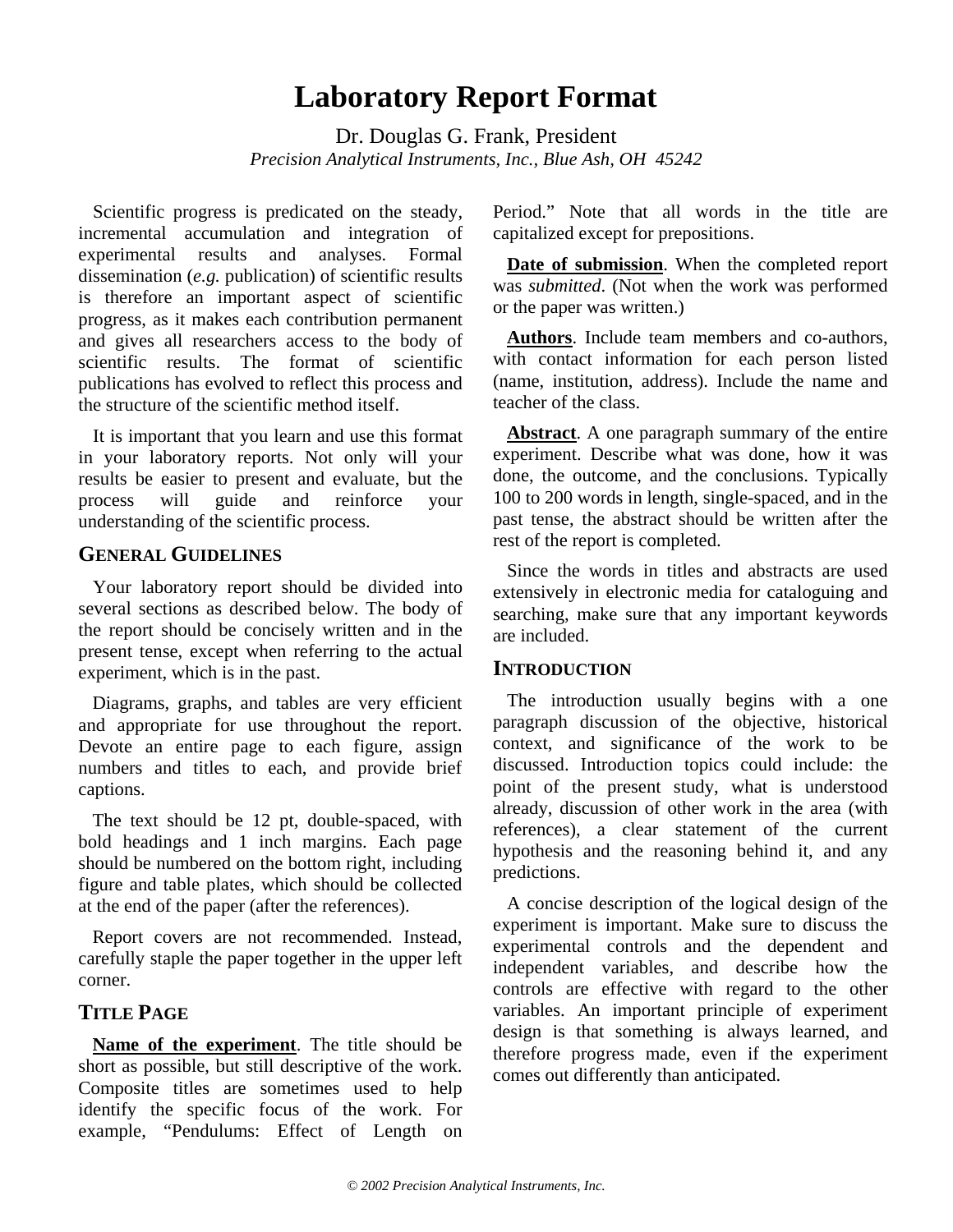# **Laboratory Report Format**

Dr. Douglas G. Frank, President *Precision Analytical Instruments, Inc., Blue Ash, OH 45242*

Scientific progress is predicated on the steady, incremental accumulation and integration of experimental results and analyses. Formal dissemination (*e.g.* publication) of scientific results is therefore an important aspect of scientific progress, as it makes each contribution permanent and gives all researchers access to the body of scientific results. The format of scientific publications has evolved to reflect this process and the structure of the scientific method itself.

It is important that you learn and use this format in your laboratory reports. Not only will your results be easier to present and evaluate, but the process will guide and reinforce your understanding of the scientific process.

#### **GENERAL GUIDELINES**

Your laboratory report should be divided into several sections as described below. The body of the report should be concisely written and in the present tense, except when referring to the actual experiment, which is in the past.

Diagrams, graphs, and tables are very efficient and appropriate for use throughout the report. Devote an entire page to each figure, assign numbers and titles to each, and provide brief captions.

The text should be 12 pt, double-spaced, with bold headings and 1 inch margins. Each page should be numbered on the bottom right, including figure and table plates, which should be collected at the end of the paper (after the references).

Report covers are not recommended. Instead, carefully staple the paper together in the upper left corner.

## **TITLE PAGE**

**Name of the experiment**. The title should be short as possible, but still descriptive of the work. Composite titles are sometimes used to help identify the specific focus of the work. For example, "Pendulums: Effect of Length on Period." Note that all words in the title are capitalized except for prepositions.

**Date of submission**. When the completed report was *submitted*. (Not when the work was performed or the paper was written.)

**Authors**. Include team members and co-authors, with contact information for each person listed (name, institution, address). Include the name and teacher of the class.

**Abstract**. A one paragraph summary of the entire experiment. Describe what was done, how it was done, the outcome, and the conclusions. Typically 100 to 200 words in length, single-spaced, and in the past tense, the abstract should be written after the rest of the report is completed.

Since the words in titles and abstracts are used extensively in electronic media for cataloguing and searching, make sure that any important keywords are included.

#### **INTRODUCTION**

The introduction usually begins with a one paragraph discussion of the objective, historical context, and significance of the work to be discussed. Introduction topics could include: the point of the present study, what is understood already, discussion of other work in the area (with references), a clear statement of the current hypothesis and the reasoning behind it, and any predictions.

A concise description of the logical design of the experiment is important. Make sure to discuss the experimental controls and the dependent and independent variables, and describe how the controls are effective with regard to the other variables. An important principle of experiment design is that something is always learned, and therefore progress made, even if the experiment comes out differently than anticipated.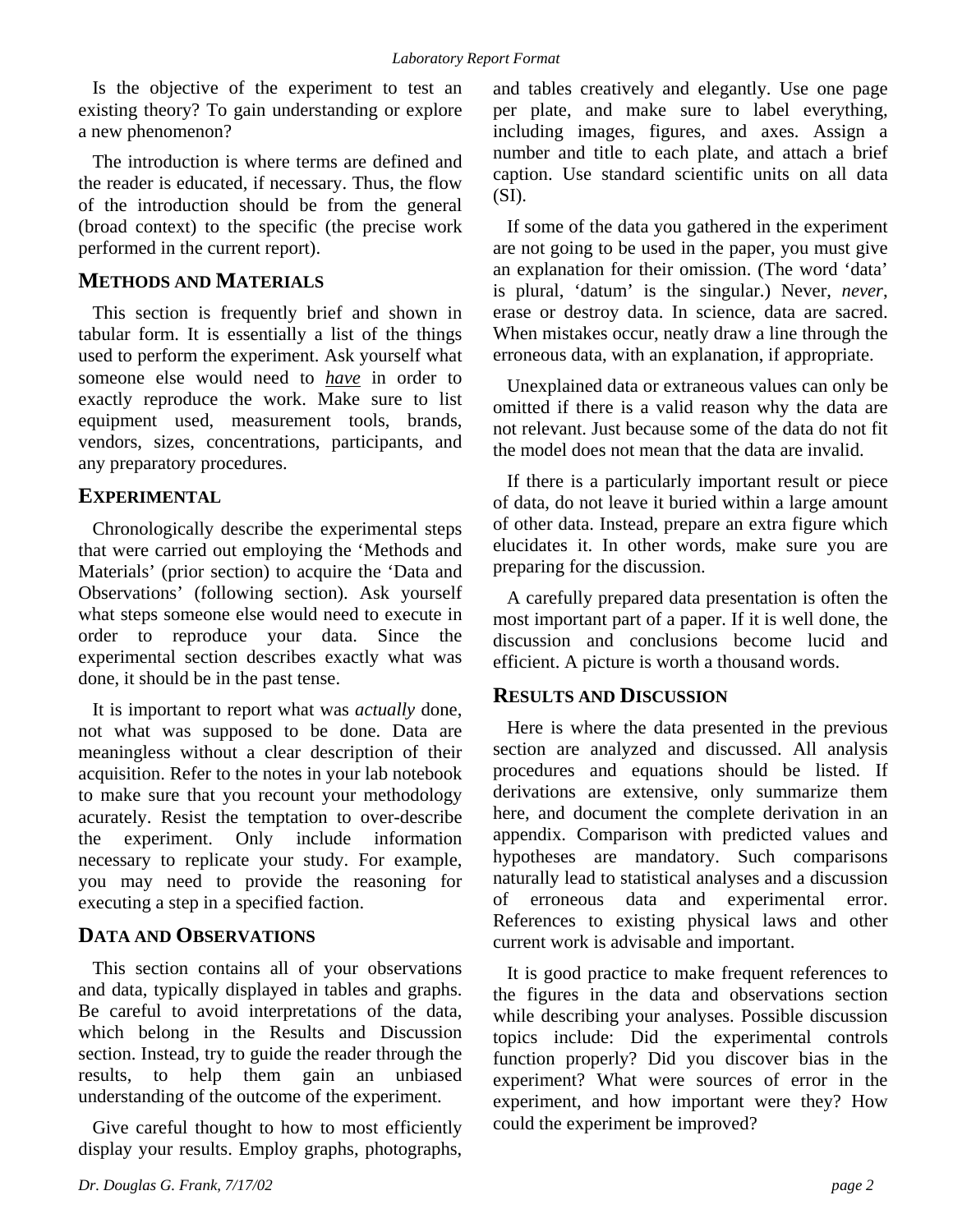Is the objective of the experiment to test an existing theory? To gain understanding or explore a new phenomenon?

The introduction is where terms are defined and the reader is educated, if necessary. Thus, the flow of the introduction should be from the general (broad context) to the specific (the precise work performed in the current report).

#### **METHODS AND MATERIALS**

This section is frequently brief and shown in tabular form. It is essentially a list of the things used to perform the experiment. Ask yourself what someone else would need to *have* in order to exactly reproduce the work. Make sure to list equipment used, measurement tools, brands, vendors, sizes, concentrations, participants, and any preparatory procedures.

#### **EXPERIMENTAL**

Chronologically describe the experimental steps that were carried out employing the 'Methods and Materials' (prior section) to acquire the 'Data and Observations' (following section). Ask yourself what steps someone else would need to execute in order to reproduce your data. Since the experimental section describes exactly what was done, it should be in the past tense.

It is important to report what was *actually* done, not what was supposed to be done. Data are meaningless without a clear description of their acquisition. Refer to the notes in your lab notebook to make sure that you recount your methodology acurately. Resist the temptation to over-describe the experiment. Only include information necessary to replicate your study. For example, you may need to provide the reasoning for executing a step in a specified faction.

## **DATA AND OBSERVATIONS**

This section contains all of your observations and data, typically displayed in tables and graphs. Be careful to avoid interpretations of the data, which belong in the Results and Discussion section. Instead, try to guide the reader through the results, to help them gain an unbiased understanding of the outcome of the experiment.

Give careful thought to how to most efficiently display your results. Employ graphs, photographs,

and tables creatively and elegantly. Use one page per plate, and make sure to label everything, including images, figures, and axes. Assign a number and title to each plate, and attach a brief caption. Use standard scientific units on all data (SI).

If some of the data you gathered in the experiment are not going to be used in the paper, you must give an explanation for their omission. (The word 'data' is plural, 'datum' is the singular.) Never, *never*, erase or destroy data. In science, data are sacred. When mistakes occur, neatly draw a line through the erroneous data, with an explanation, if appropriate.

Unexplained data or extraneous values can only be omitted if there is a valid reason why the data are not relevant. Just because some of the data do not fit the model does not mean that the data are invalid.

If there is a particularly important result or piece of data, do not leave it buried within a large amount of other data. Instead, prepare an extra figure which elucidates it. In other words, make sure you are preparing for the discussion.

A carefully prepared data presentation is often the most important part of a paper. If it is well done, the discussion and conclusions become lucid and efficient. A picture is worth a thousand words.

#### **RESULTS AND DISCUSSION**

Here is where the data presented in the previous section are analyzed and discussed. All analysis procedures and equations should be listed. If derivations are extensive, only summarize them here, and document the complete derivation in an appendix. Comparison with predicted values and hypotheses are mandatory. Such comparisons naturally lead to statistical analyses and a discussion of erroneous data and experimental error. References to existing physical laws and other current work is advisable and important.

It is good practice to make frequent references to the figures in the data and observations section while describing your analyses. Possible discussion topics include: Did the experimental controls function properly? Did you discover bias in the experiment? What were sources of error in the experiment, and how important were they? How could the experiment be improved?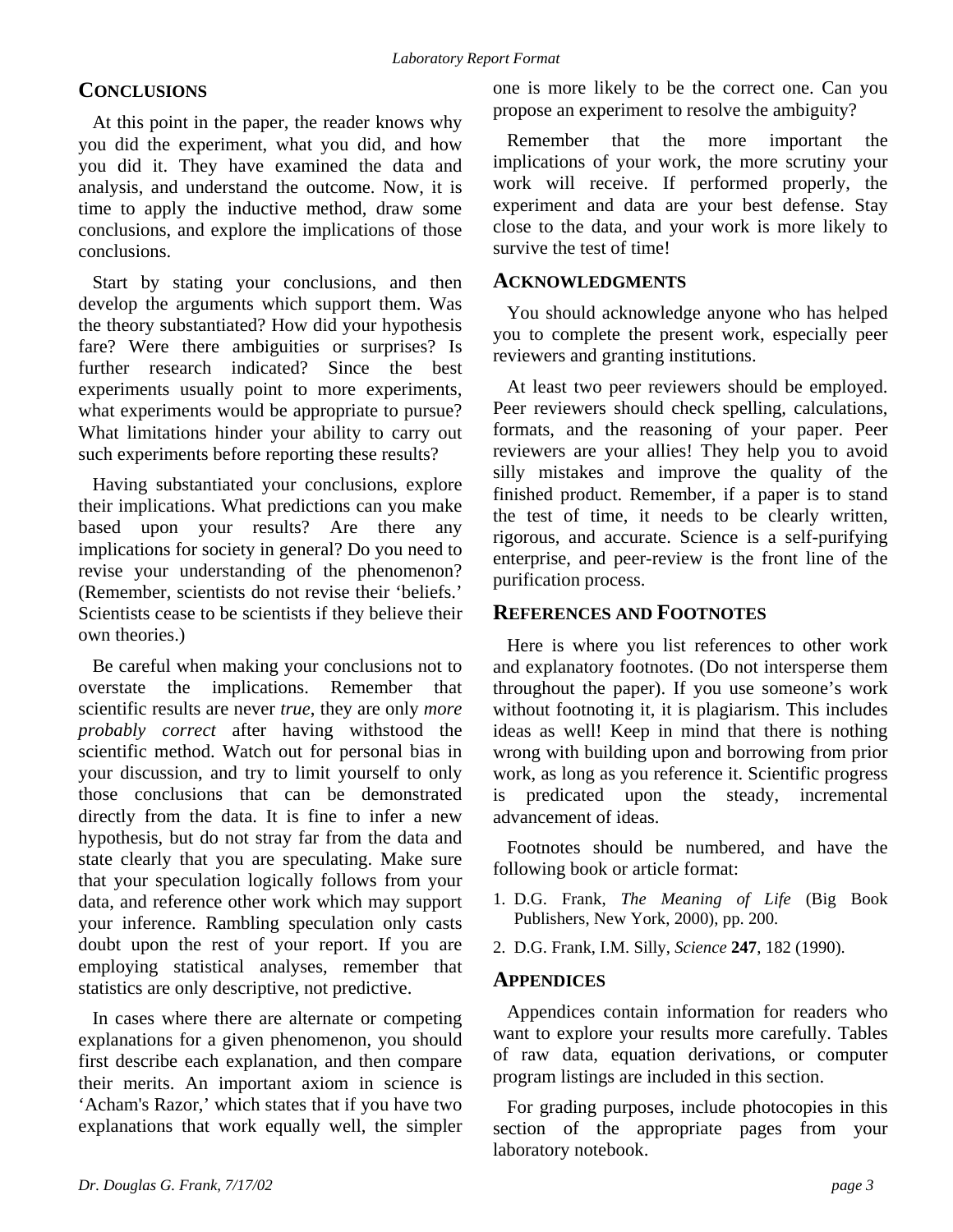#### **CONCLUSIONS**

At this point in the paper, the reader knows why you did the experiment, what you did, and how you did it. They have examined the data and analysis, and understand the outcome. Now, it is time to apply the inductive method, draw some conclusions, and explore the implications of those conclusions.

Start by stating your conclusions, and then develop the arguments which support them. Was the theory substantiated? How did your hypothesis fare? Were there ambiguities or surprises? Is further research indicated? Since the best experiments usually point to more experiments, what experiments would be appropriate to pursue? What limitations hinder your ability to carry out such experiments before reporting these results?

Having substantiated your conclusions, explore their implications. What predictions can you make based upon your results? Are there any implications for society in general? Do you need to revise your understanding of the phenomenon? (Remember, scientists do not revise their 'beliefs.' Scientists cease to be scientists if they believe their own theories.)

Be careful when making your conclusions not to overstate the implications. Remember that scientific results are never *true*, they are only *more probably correct* after having withstood the scientific method. Watch out for personal bias in your discussion, and try to limit yourself to only those conclusions that can be demonstrated directly from the data. It is fine to infer a new hypothesis, but do not stray far from the data and state clearly that you are speculating. Make sure that your speculation logically follows from your data, and reference other work which may support your inference. Rambling speculation only casts doubt upon the rest of your report. If you are employing statistical analyses, remember that statistics are only descriptive, not predictive.

In cases where there are alternate or competing explanations for a given phenomenon, you should first describe each explanation, and then compare their merits. An important axiom in science is 'Acham's Razor,' which states that if you have two explanations that work equally well, the simpler one is more likely to be the correct one. Can you propose an experiment to resolve the ambiguity?

Remember that the more important the implications of your work, the more scrutiny your work will receive. If performed properly, the experiment and data are your best defense. Stay close to the data, and your work is more likely to survive the test of time!

#### **ACKNOWLEDGMENTS**

You should acknowledge anyone who has helped you to complete the present work, especially peer reviewers and granting institutions.

At least two peer reviewers should be employed. Peer reviewers should check spelling, calculations, formats, and the reasoning of your paper. Peer reviewers are your allies! They help you to avoid silly mistakes and improve the quality of the finished product. Remember, if a paper is to stand the test of time, it needs to be clearly written, rigorous, and accurate. Science is a self-purifying enterprise, and peer-review is the front line of the purification process.

#### **REFERENCES AND FOOTNOTES**

Here is where you list references to other work and explanatory footnotes. (Do not intersperse them throughout the paper). If you use someone's work without footnoting it, it is plagiarism. This includes ideas as well! Keep in mind that there is nothing wrong with building upon and borrowing from prior work, as long as you reference it. Scientific progress is predicated upon the steady, incremental advancement of ideas.

Footnotes should be numbered, and have the following book or article format:

- 1. D.G. Frank, *The Meaning of Life* (Big Book Publishers, New York, 2000), pp. 200.
- 2. D.G. Frank, I.M. Silly, *Science* **247**, 182 (1990).

#### **APPENDICES**

Appendices contain information for readers who want to explore your results more carefully. Tables of raw data, equation derivations, or computer program listings are included in this section.

For grading purposes, include photocopies in this section of the appropriate pages from your laboratory notebook.